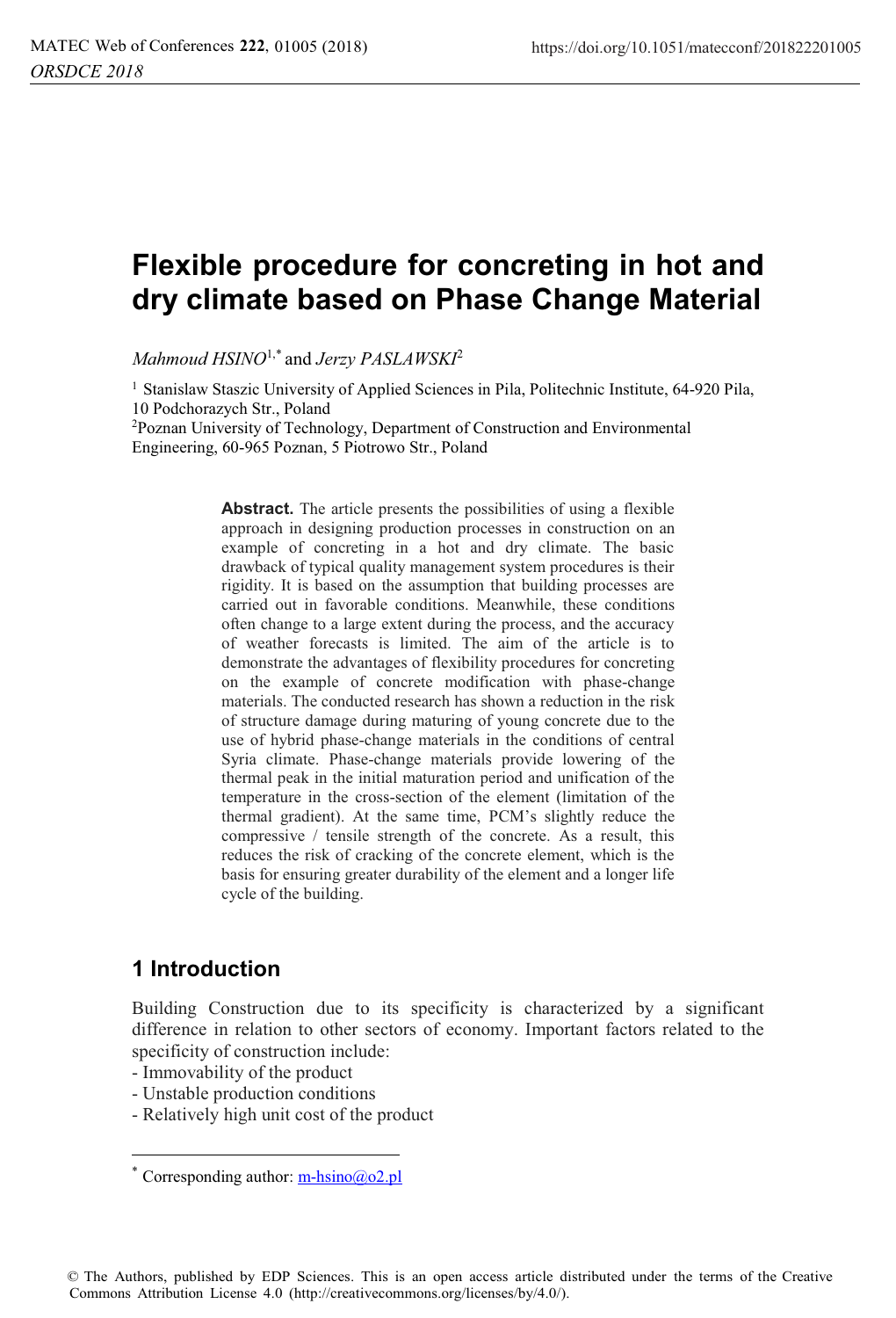# **Flexible procedure for concreting in hot and dry climate based on Phase Change Material**

*Mahmoud HSINO*1,\* and *Jerzy PASLAWSKI*<sup>2</sup>

<sup>1</sup> Stanislaw Staszic University of Applied Sciences in Pila, Politechnic Institute, 64-920 Pila, 10 Podchorazych Str., Poland

2Poznan University of Technology, Department of Construction and Environmental Engineering, 60-965 Poznan, 5 Piotrowo Str., Poland

> **Abstract.** The article presents the possibilities of using a flexible approach in designing production processes in construction on an example of concreting in a hot and dry climate. The basic drawback of typical quality management system procedures is their rigidity. It is based on the assumption that building processes are carried out in favorable conditions. Meanwhile, these conditions often change to a large extent during the process, and the accuracy of weather forecasts is limited. The aim of the article is to demonstrate the advantages of flexibility procedures for concreting on the example of concrete modification with phase-change materials. The conducted research has shown a reduction in the risk of structure damage during maturing of young concrete due to the use of hybrid phase-change materials in the conditions of central Syria climate. Phase-change materials provide lowering of the thermal peak in the initial maturation period and unification of the temperature in the cross-section of the element (limitation of the thermal gradient). At the same time, PCM's slightly reduce the compressive / tensile strength of the concrete. As a result, this reduces the risk of cracking of the concrete element, which is the basis for ensuring greater durability of the element and a longer life cycle of the building.

### **1 Introduction**

l

Building Construction due to its specificity is characterized by a significant difference in relation to other sectors of economy. Important factors related to the specificity of construction include:

- Immovability of the product
- Unstable production conditions
- Relatively high unit cost of the product

<sup>\*</sup> Corresponding author:  $m\text{-}h\text{sino}(a_0, 2, p)$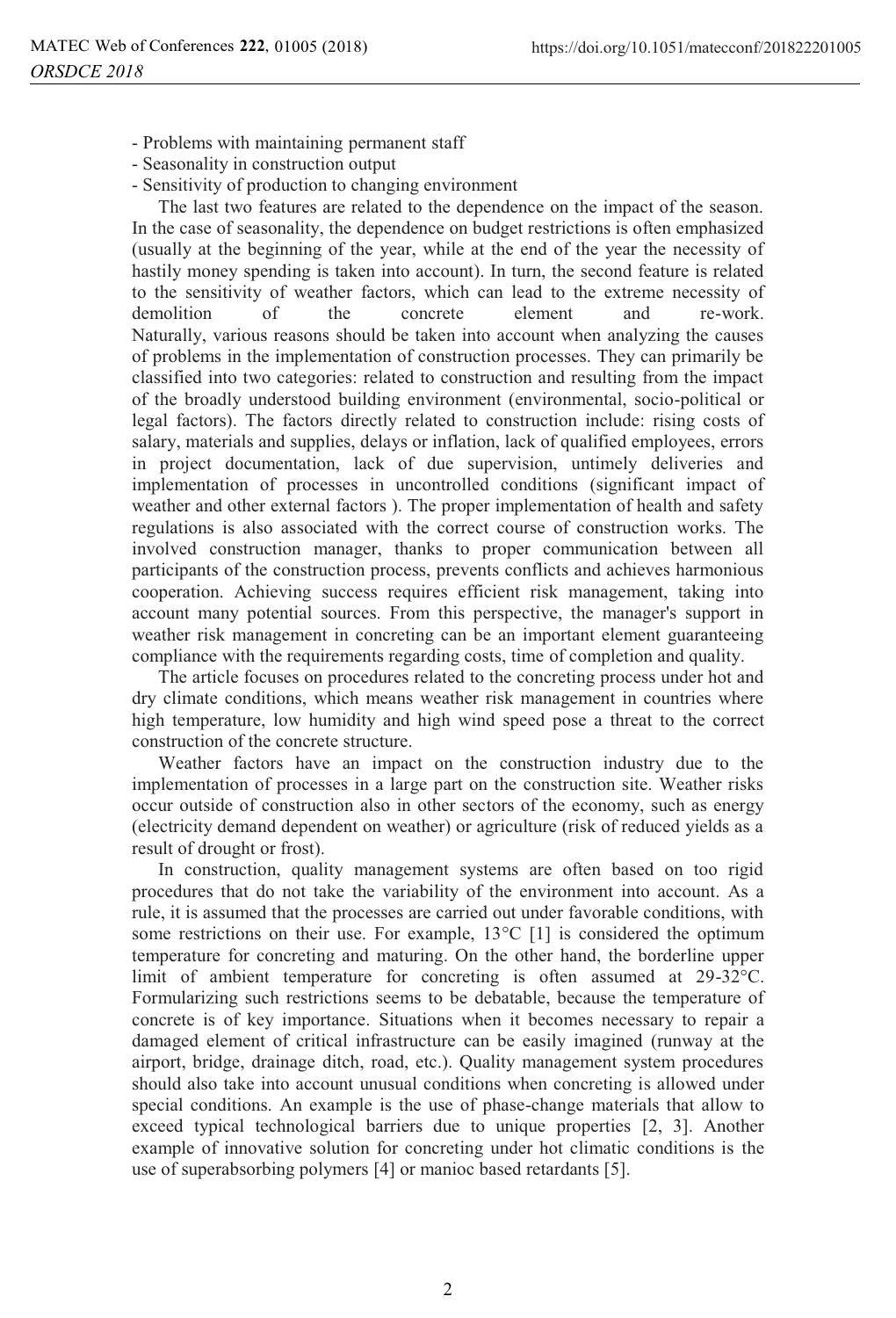- Problems with maintaining permanent staff
- Seasonality in construction output
- Sensitivity of production to changing environment

The last two features are related to the dependence on the impact of the season. In the case of seasonality, the dependence on budget restrictions is often emphasized (usually at the beginning of the year, while at the end of the year the necessity of hastily money spending is taken into account). In turn, the second feature is related to the sensitivity of weather factors, which can lead to the extreme necessity of demolition of the concrete element and re-work. Naturally, various reasons should be taken into account when analyzing the causes of problems in the implementation of construction processes. They can primarily be classified into two categories: related to construction and resulting from the impact of the broadly understood building environment (environmental, socio-political or legal factors). The factors directly related to construction include: rising costs of salary, materials and supplies, delays or inflation, lack of qualified employees, errors in project documentation, lack of due supervision, untimely deliveries and implementation of processes in uncontrolled conditions (significant impact of weather and other external factors ). The proper implementation of health and safety regulations is also associated with the correct course of construction works. The involved construction manager, thanks to proper communication between all participants of the construction process, prevents conflicts and achieves harmonious cooperation. Achieving success requires efficient risk management, taking into account many potential sources. From this perspective, the manager's support in weather risk management in concreting can be an important element guaranteeing compliance with the requirements regarding costs, time of completion and quality.

The article focuses on procedures related to the concreting process under hot and dry climate conditions, which means weather risk management in countries where high temperature, low humidity and high wind speed pose a threat to the correct construction of the concrete structure.

Weather factors have an impact on the construction industry due to the implementation of processes in a large part on the construction site. Weather risks occur outside of construction also in other sectors of the economy, such as energy (electricity demand dependent on weather) or agriculture (risk of reduced yields as a result of drought or frost).

In construction, quality management systems are often based on too rigid procedures that do not take the variability of the environment into account. As a rule, it is assumed that the processes are carried out under favorable conditions, with some restrictions on their use. For example,  $13^{\circ}$ C [1] is considered the optimum temperature for concreting and maturing. On the other hand, the borderline upper limit of ambient temperature for concreting is often assumed at 29-32°C. Formularizing such restrictions seems to be debatable, because the temperature of concrete is of key importance. Situations when it becomes necessary to repair a damaged element of critical infrastructure can be easily imagined (runway at the airport, bridge, drainage ditch, road, etc.). Quality management system procedures should also take into account unusual conditions when concreting is allowed under special conditions. An example is the use of phase-change materials that allow to exceed typical technological barriers due to unique properties [2, 3]. Another example of innovative solution for concreting under hot climatic conditions is the use of superabsorbing polymers [4] or manioc based retardants [5].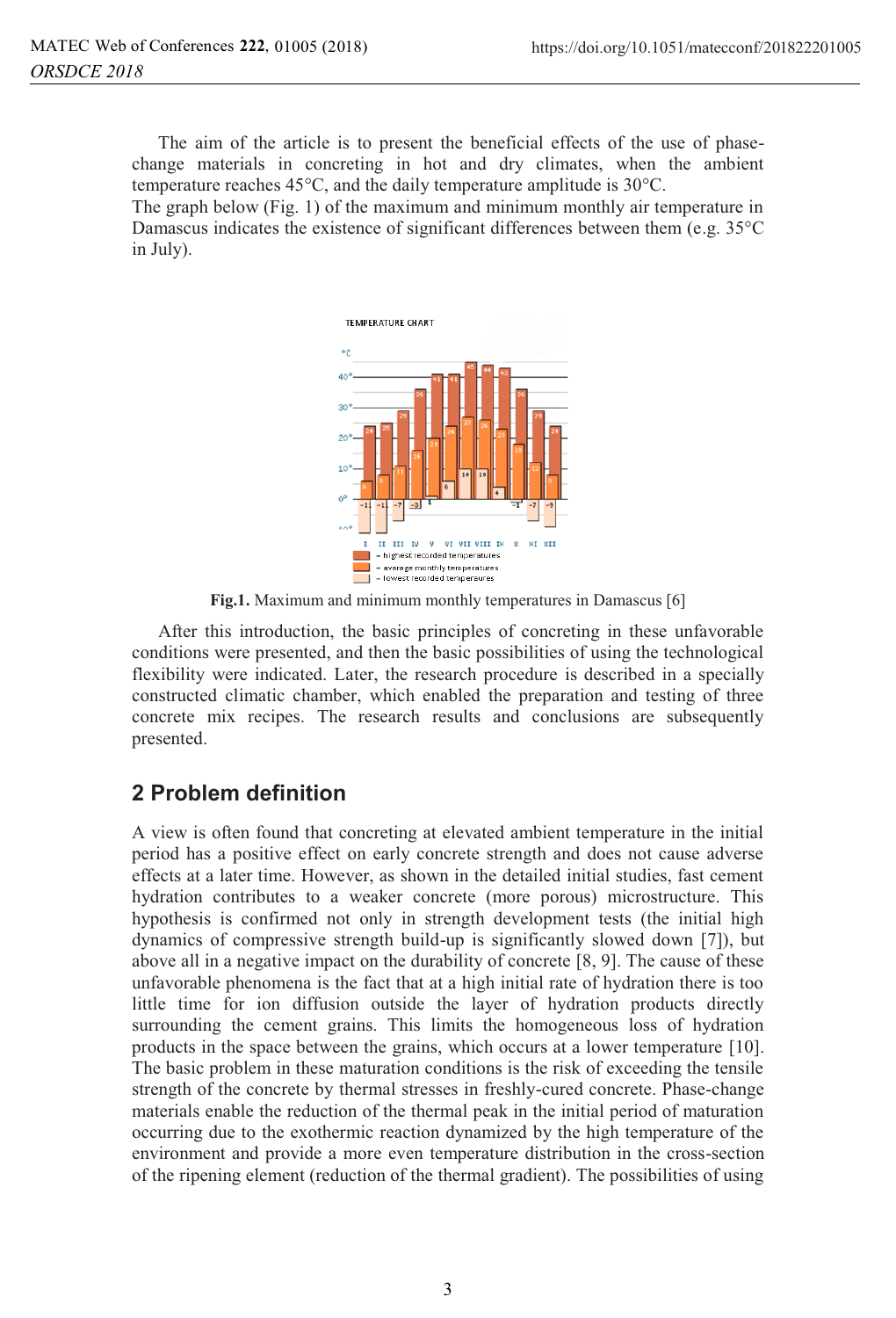The aim of the article is to present the beneficial effects of the use of phasechange materials in concreting in hot and dry climates, when the ambient temperature reaches 45°C, and the daily temperature amplitude is 30°C.

The graph below (Fig. 1) of the maximum and minimum monthly air temperature in Damascus indicates the existence of significant differences between them (e.g. 35°C in July).



**Fig.1.** Maximum and minimum monthly temperatures in Damascus [6]

After this introduction, the basic principles of concreting in these unfavorable conditions were presented, and then the basic possibilities of using the technological flexibility were indicated. Later, the research procedure is described in a specially constructed climatic chamber, which enabled the preparation and testing of three concrete mix recipes. The research results and conclusions are subsequently presented.

# **2 Problem definition**

A view is often found that concreting at elevated ambient temperature in the initial period has a positive effect on early concrete strength and does not cause adverse effects at a later time. However, as shown in the detailed initial studies, fast cement hydration contributes to a weaker concrete (more porous) microstructure. This hypothesis is confirmed not only in strength development tests (the initial high dynamics of compressive strength build-up is significantly slowed down [7]), but above all in a negative impact on the durability of concrete [8, 9]. The cause of these unfavorable phenomena is the fact that at a high initial rate of hydration there is too little time for ion diffusion outside the layer of hydration products directly surrounding the cement grains. This limits the homogeneous loss of hydration products in the space between the grains, which occurs at a lower temperature [10]. The basic problem in these maturation conditions is the risk of exceeding the tensile strength of the concrete by thermal stresses in freshly-cured concrete. Phase-change materials enable the reduction of the thermal peak in the initial period of maturation occurring due to the exothermic reaction dynamized by the high temperature of the environment and provide a more even temperature distribution in the cross-section of the ripening element (reduction of the thermal gradient). The possibilities of using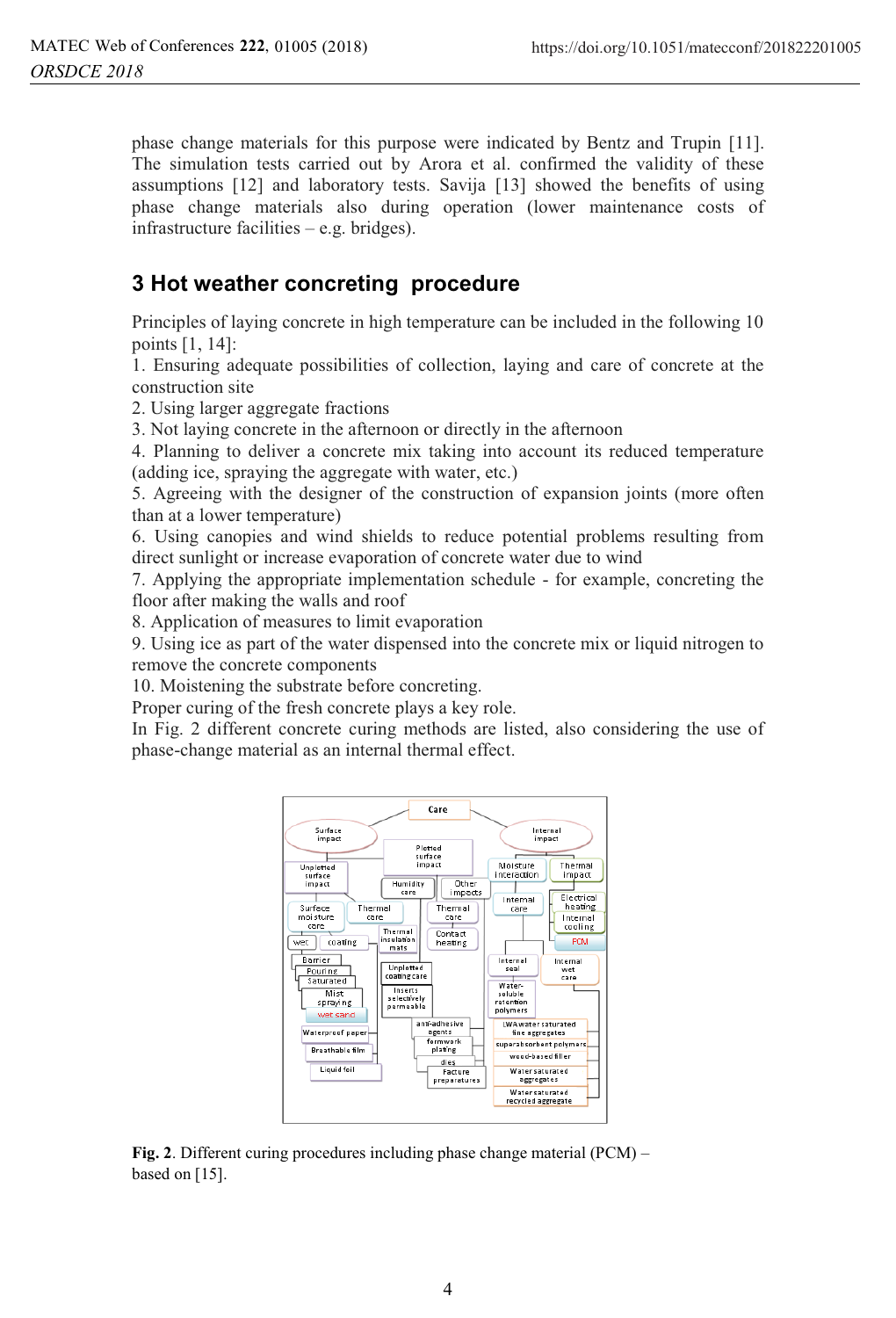phase change materials for this purpose were indicated by Bentz and Trupin [11]. The simulation tests carried out by Arora et al. confirmed the validity of these assumptions [12] and laboratory tests. Savija [13] showed the benefits of using phase change materials also during operation (lower maintenance costs of infrastructure facilities – e.g. bridges).

# **3 Hot weather concreting procedure**

Principles of laying concrete in high temperature can be included in the following 10 points [1, 14]:

1. Ensuring adequate possibilities of collection, laying and care of concrete at the construction site

2. Using larger aggregate fractions

3. Not laying concrete in the afternoon or directly in the afternoon

4. Planning to deliver a concrete mix taking into account its reduced temperature (adding ice, spraying the aggregate with water, etc.)

5. Agreeing with the designer of the construction of expansion joints (more often than at a lower temperature)

6. Using canopies and wind shields to reduce potential problems resulting from direct sunlight or increase evaporation of concrete water due to wind

7. Applying the appropriate implementation schedule - for example, concreting the floor after making the walls and roof

8. Application of measures to limit evaporation

9. Using ice as part of the water dispensed into the concrete mix or liquid nitrogen to remove the concrete components

10. Moistening the substrate before concreting.

Proper curing of the fresh concrete plays a key role.

In Fig. 2 different concrete curing methods are listed, also considering the use of phase-change material as an internal thermal effect.



**Fig. 2**. Different curing procedures including phase change material (PCM) – based on [15].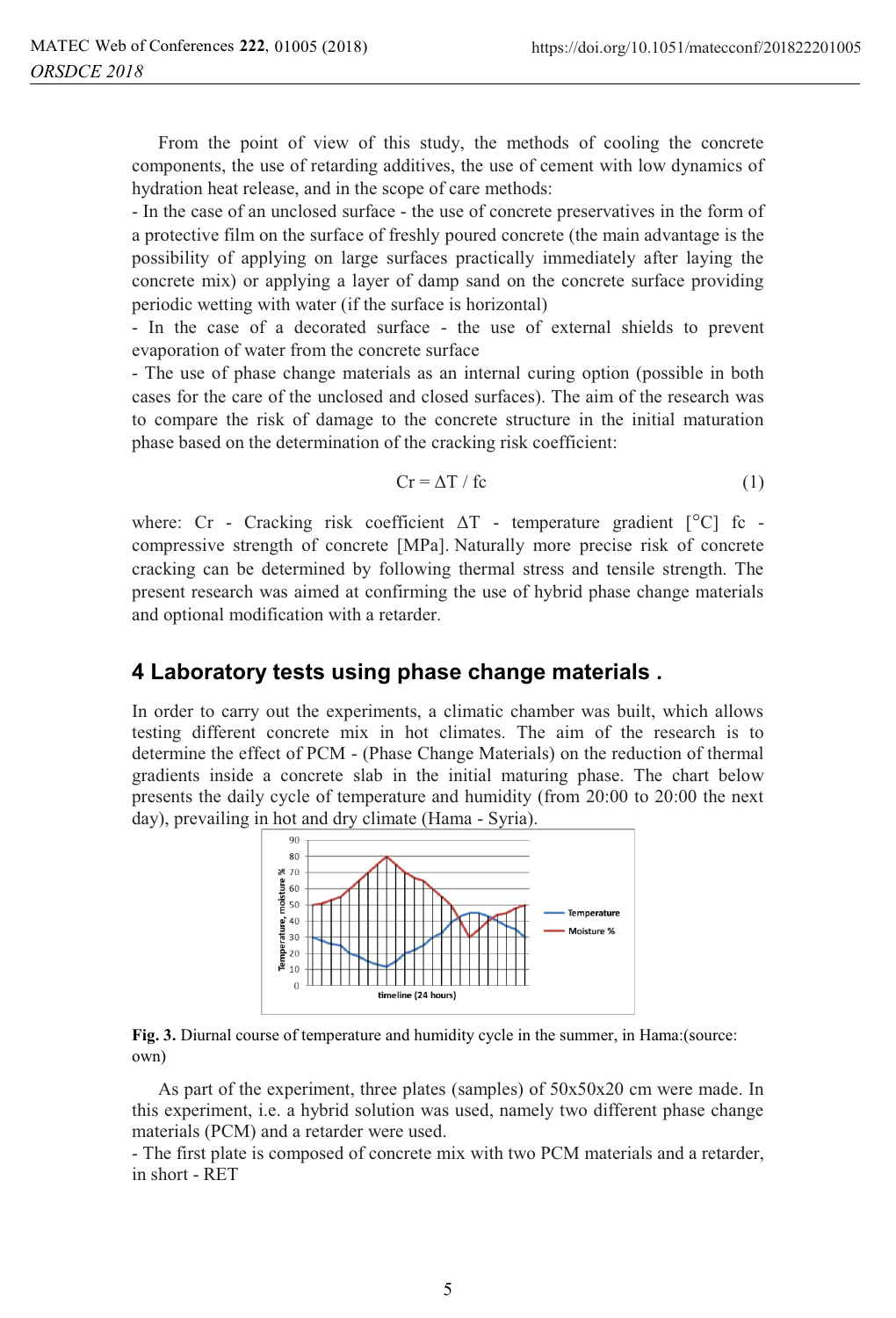From the point of view of this study, the methods of cooling the concrete components, the use of retarding additives, the use of cement with low dynamics of hydration heat release, and in the scope of care methods:

- In the case of an unclosed surface - the use of concrete preservatives in the form of a protective film on the surface of freshly poured concrete (the main advantage is the possibility of applying on large surfaces practically immediately after laying the concrete mix) or applying a layer of damp sand on the concrete surface providing periodic wetting with water (if the surface is horizontal)

- In the case of a decorated surface - the use of external shields to prevent evaporation of water from the concrete surface

- The use of phase change materials as an internal curing option (possible in both cases for the care of the unclosed and closed surfaces). The aim of the research was to compare the risk of damage to the concrete structure in the initial maturation phase based on the determination of the cracking risk coefficient:

$$
Cr = \Delta T / fc
$$
 (1)

where: Cr - Cracking risk coefficient  $\Delta T$  - temperature gradient  $[°C]$  fc compressive strength of concrete [MPa]. Naturally more precise risk of concrete cracking can be determined by following thermal stress and tensile strength. The present research was aimed at confirming the use of hybrid phase change materials and optional modification with a retarder.

#### **4 Laboratory tests using phase change materials .**

In order to carry out the experiments, a climatic chamber was built, which allows testing different concrete mix in hot climates. The aim of the research is to determine the effect of PCM - (Phase Change Materials) on the reduction of thermal gradients inside a concrete slab in the initial maturing phase. The chart below presents the daily cycle of temperature and humidity (from 20:00 to 20:00 the next day), prevailing in hot and dry climate (Hama - Syria).



**Fig. 3.** Diurnal course of temperature and humidity cycle in the summer, in Hama:(source: own)

As part of the experiment, three plates (samples) of 50x50x20 cm were made. In this experiment, i.e. a hybrid solution was used, namely two different phase change materials (PCM) and a retarder were used.

- The first plate is composed of concrete mix with two PCM materials and a retarder, in short - RET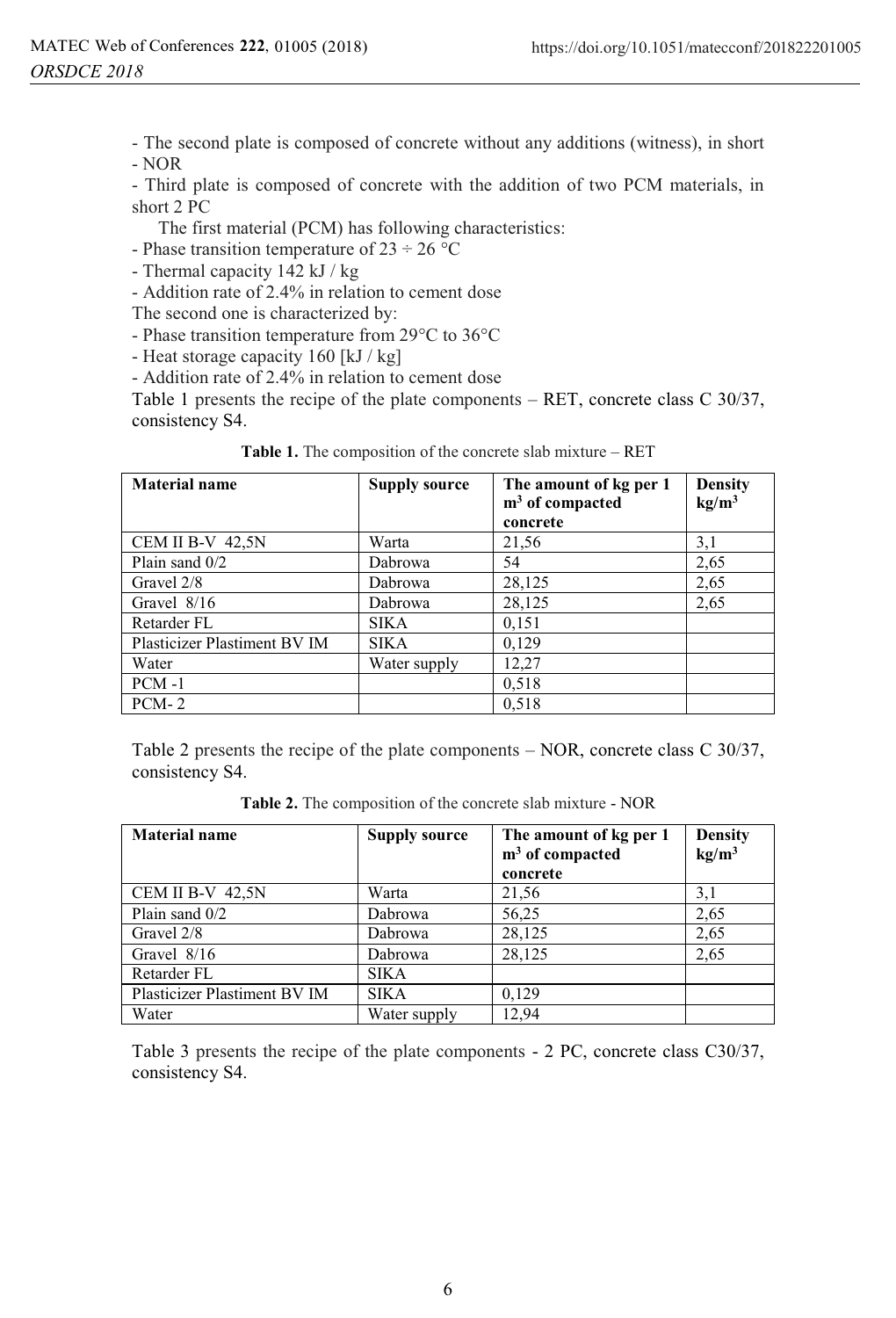- The second plate is composed of concrete without any additions (witness), in short - NOR

- Third plate is composed of concrete with the addition of two PCM materials, in short 2 PC

The first material (PCM) has following characteristics:

- Phase transition temperature of  $23 \div 26$  °C

- Thermal capacity 142 kJ / kg

- Addition rate of 2.4% in relation to cement dose

The second one is characterized by:

- Phase transition temperature from 29°C to 36°C

- Heat storage capacity 160 [kJ / kg]

- Addition rate of 2.4% in relation to cement dose

Table 1 presents the recipe of the plate components – RET, concrete class C 30/37, consistency S4.

| <b>Material name</b>         | <b>Supply source</b> | The amount of kg per 1<br>$m3$ of compacted<br>concrete | <b>Density</b><br>kg/m <sup>3</sup> |
|------------------------------|----------------------|---------------------------------------------------------|-------------------------------------|
| CEM II B-V 42,5N             | Warta                | 21,56                                                   | 3,1                                 |
| Plain sand 0/2               | Dabrowa              | 54                                                      | 2,65                                |
| Gravel 2/8                   | Dabrowa              | 28,125                                                  | 2,65                                |
| Gravel $8/16$                | Dabrowa              | 28,125                                                  | 2,65                                |
| Retarder FL                  | <b>SIKA</b>          | 0,151                                                   |                                     |
| Plasticizer Plastiment BV IM | <b>SIKA</b>          | 0,129                                                   |                                     |
| Water                        | Water supply         | 12,27                                                   |                                     |
| $PCM -1$                     |                      | 0,518                                                   |                                     |
| $PCM-2$                      |                      | 0,518                                                   |                                     |

**Table 1.** The composition of the concrete slab mixture – RET

Table 2 presents the recipe of the plate components – NOR, concrete class C 30/37, consistency S4.

**Table 2.** The composition of the concrete slab mixture - NOR

| <b>Material name</b>         | <b>Supply source</b> | The amount of kg per 1<br>$m3$ of compacted | <b>Density</b><br>kg/m <sup>3</sup> |
|------------------------------|----------------------|---------------------------------------------|-------------------------------------|
|                              |                      | concrete                                    |                                     |
| CEM II B-V 42,5N             | Warta                | 21,56                                       | 3,1                                 |
| Plain sand 0/2               | Dabrowa              | 56,25                                       | 2,65                                |
| Gravel 2/8                   | Dabrowa              | 28,125                                      | 2,65                                |
| Gravel $8/16$                | Dabrowa              | 28,125                                      | 2,65                                |
| Retarder FL                  | <b>SIKA</b>          |                                             |                                     |
| Plasticizer Plastiment BV IM | <b>SIKA</b>          | 0,129                                       |                                     |
| Water                        | Water supply         | 12.94                                       |                                     |

Table 3 presents the recipe of the plate components - 2 PC, concrete class C30/37, consistency S4.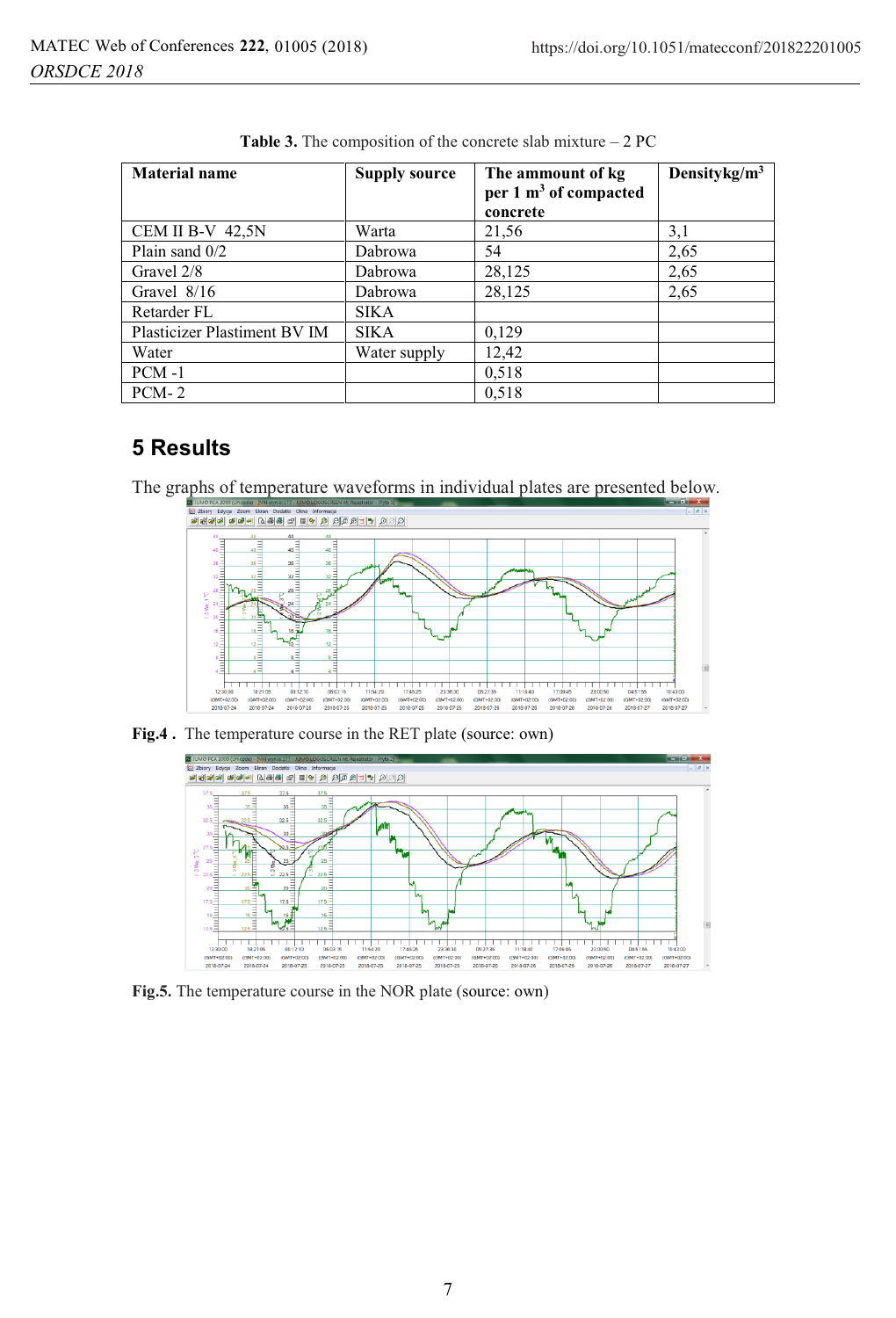| <b>Material name</b>         | <b>Supply source</b> | The ammount of kg<br>per 1 m <sup>3</sup> of compacted<br>concrete | Densitykg/ $m^3$ |
|------------------------------|----------------------|--------------------------------------------------------------------|------------------|
| <b>CEM II B-V 42.5N</b>      | Warta                | 21,56                                                              | 3,1              |
| Plain sand $0/2$             | Dabrowa              | 54                                                                 | 2,65             |
| Gravel 2/8                   | Dabrowa              | 28,125                                                             | 2,65             |
| Gravel $8/16$                | Dabrowa              | 28,125                                                             | 2,65             |
| Retarder FL                  | SIKA                 |                                                                    |                  |
| Plasticizer Plastiment BV IM | SIKA                 | 0,129                                                              |                  |
| Water                        | Water supply         | 12,42                                                              |                  |
| $PCM -1$                     |                      | 0,518                                                              |                  |
| $PCM-2$                      |                      | 0,518                                                              |                  |

**Table 3.** The composition of the concrete slab mixture – 2 PC

## **5 Results**

The graphs of temperature waveforms in individual plates are presented below.



**Fig.4 .** The temperature course in the RET plate (source: own)



**Fig.5.** The temperature course in the NOR plate (source: own)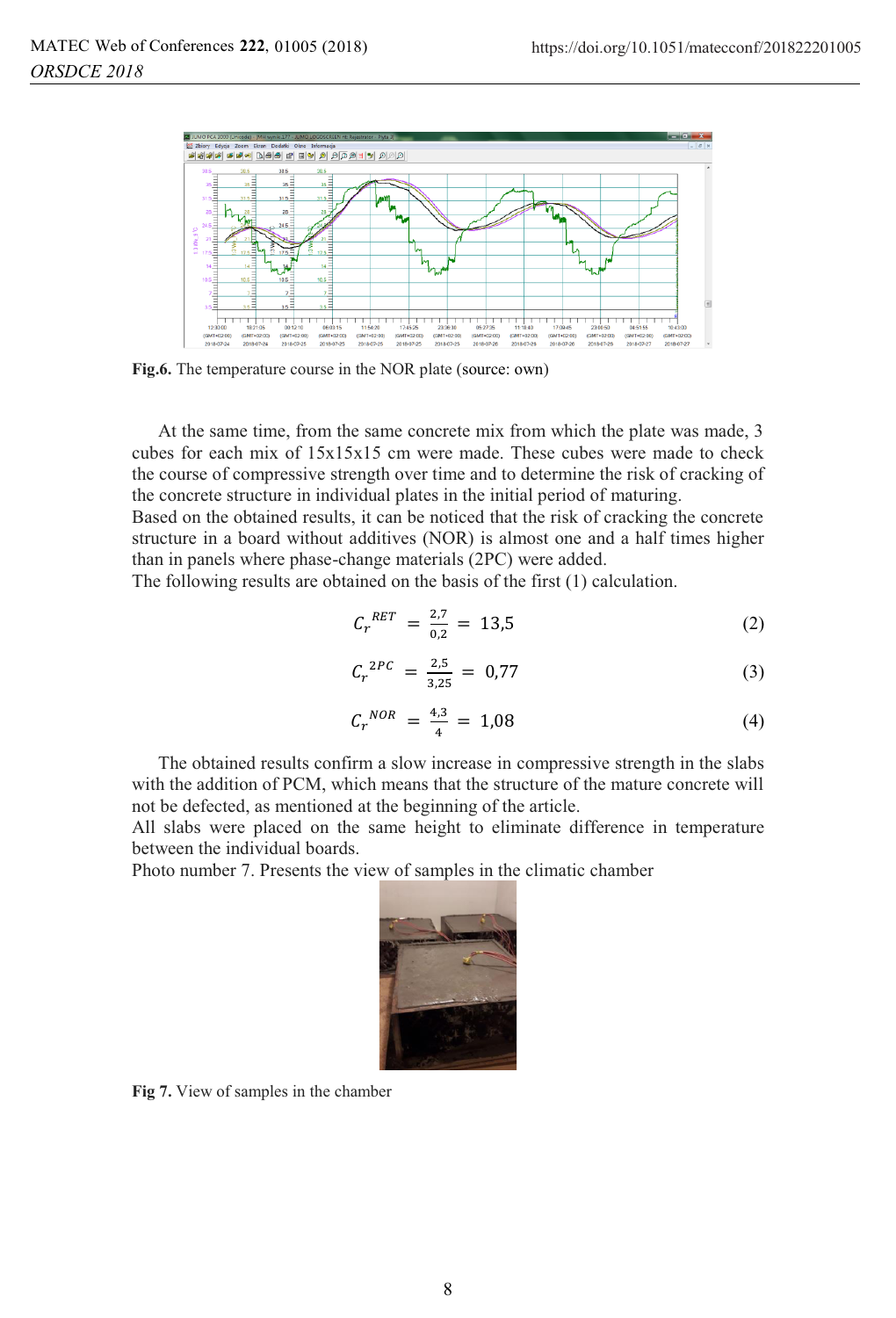

**Fig.6.** The temperature course in the NOR plate (source: own)

At the same time, from the same concrete mix from which the plate was made, 3 cubes for each mix of 15x15x15 cm were made. These cubes were made to check the course of compressive strength over time and to determine the risk of cracking of the concrete structure in individual plates in the initial period of maturing.

Based on the obtained results, it can be noticed that the risk of cracking the concrete structure in a board without additives (NOR) is almost one and a half times higher than in panels where phase-change materials (2PC) were added.

The following results are obtained on the basis of the first (1) calculation.

$$
C_r^{RET} = \frac{2.7}{0.2} = 13.5 \tag{2}
$$

$$
C_r^{2PC} = \frac{2.5}{3.25} = 0.77 \tag{3}
$$

$$
C_r{}^{NOR} = \frac{4.3}{4} = 1.08
$$
 (4)

The obtained results confirm a slow increase in compressive strength in the slabs with the addition of PCM, which means that the structure of the mature concrete will not be defected, as mentioned at the beginning of the article.

All slabs were placed on the same height to eliminate difference in temperature between the individual boards.

Photo number 7. Presents the view of samples in the climatic chamber



**Fig 7.** View of samples in the chamber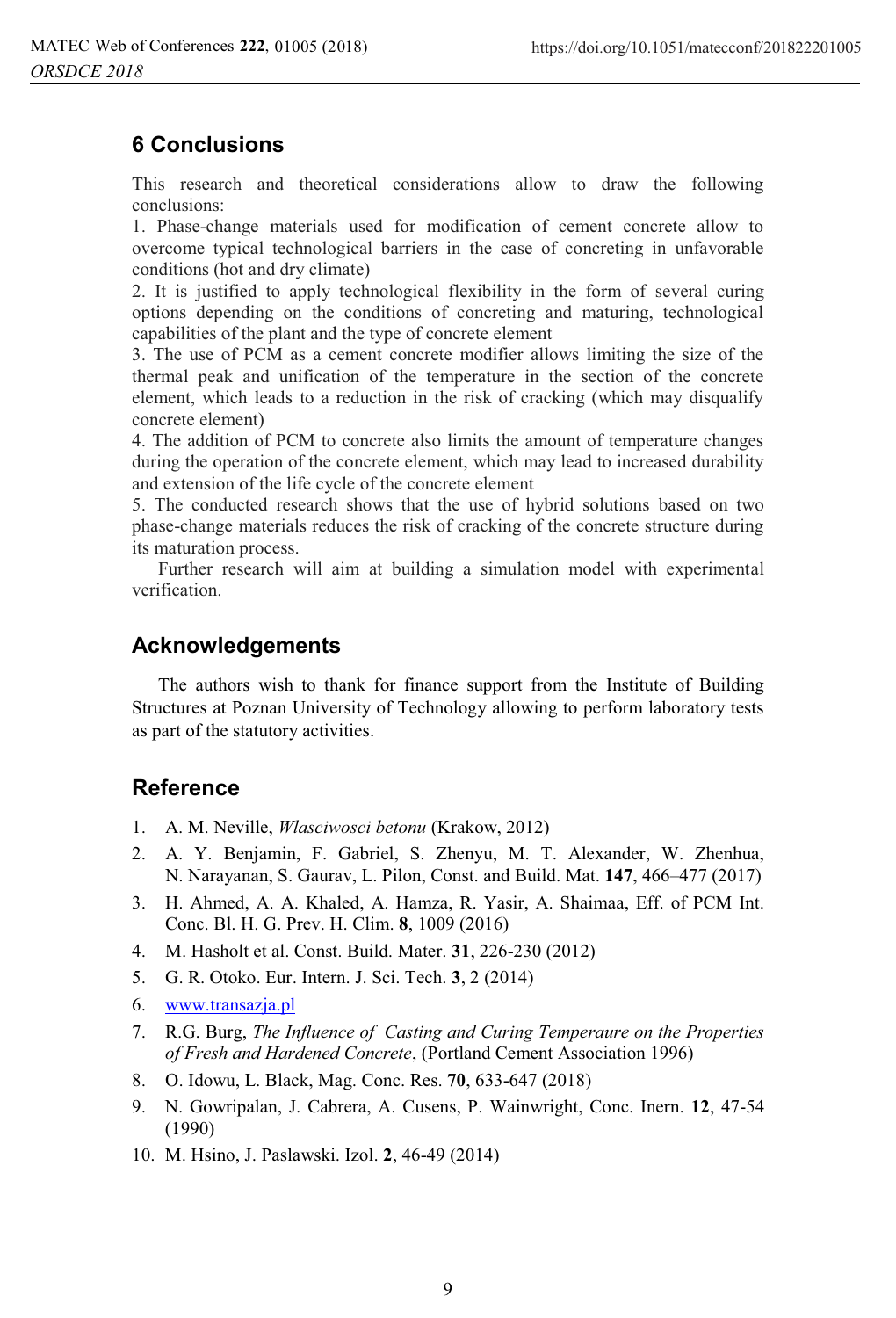# **6 Conclusions**

This research and theoretical considerations allow to draw the following conclusions:

1. Phase-change materials used for modification of cement concrete allow to overcome typical technological barriers in the case of concreting in unfavorable conditions (hot and dry climate)

2. It is justified to apply technological flexibility in the form of several curing options depending on the conditions of concreting and maturing, technological capabilities of the plant and the type of concrete element

3. The use of PCM as a cement concrete modifier allows limiting the size of the thermal peak and unification of the temperature in the section of the concrete element, which leads to a reduction in the risk of cracking (which may disqualify concrete element)

4. The addition of PCM to concrete also limits the amount of temperature changes during the operation of the concrete element, which may lead to increased durability and extension of the life cycle of the concrete element

5. The conducted research shows that the use of hybrid solutions based on two phase-change materials reduces the risk of cracking of the concrete structure during its maturation process.

Further research will aim at building a simulation model with experimental verification.

### **Acknowledgements**

 The authors wish to thank for finance support from the Institute of Building Structures at Poznan University of Technology allowing to perform laboratory tests as part of the statutory activities.

### **Reference**

- 1. A. M. Neville, *Wlasciwosci betonu* (Krakow, 2012)
- 2. A. Y. Benjamin, F. Gabriel, S. Zhenyu, M. T. Alexander, W. Zhenhua, N. Narayanan, S. Gaurav, L. Pilon, Const. and Build. Mat. **147**, 466–477 (2017)
- 3. H. Ahmed, A. A. Khaled, A. Hamza, R. Yasir, A. Shaimaa, Eff. of PCM Int. Conc. Bl. H. G. Prev. H. Clim. **8**, 1009 (2016)
- 4. M. Hasholt et al. Const. Build. Mater. **31**, 226-230 (2012)
- 5. G. R. Otoko. Eur. Intern. J. Sci. Tech. **3**, 2 (2014)
- 6. www.transazja.pl
- 7. R.G. Burg, *The Influence of Casting and Curing Temperaure on the Properties of Fresh and Hardened Concrete*, (Portland Cement Association 1996)
- 8. O. Idowu, L. Black, Mag. Conc. Res. **70**, 633-647 (2018)
- 9. N. Gowripalan, J. Cabrera, A. Cusens, P. Wainwright, Conc. Inern. **12**, 47-54 (1990)
- 10. M. Hsino, J. Paslawski. Izol. **2**, 46-49 (2014)